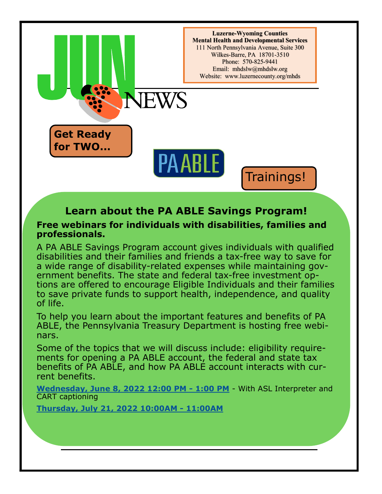

## **Learn about the PA ABLE Savings Program!**

## **Free webinars for individuals with disabilities, families and professionals.**

A PA ABLE Savings Program account gives individuals with qualified disabilities and their families and friends a tax-free way to save for a wide range of disability-related expenses while maintaining government benefits. The state and federal tax-free investment options are offered to encourage Eligible Individuals and their families to save private funds to support health, independence, and quality of life.

To help you learn about the important features and benefits of PA ABLE, the Pennsylvania Treasury Department is hosting free webinars.

Some of the topics that we will discuss include: eligibility requirements for opening a PA ABLE account, the federal and state tax benefits of PA ABLE, and how PA ABLE account interacts with current benefits.

**[Wednesday, June 8, 2022](https://register.gotowebinar.com/register/1964371402153275919) 12:00 PM - 1:00 PM** - With ASL Interpreter and CART captioning

**[Thursday, July 21, 2022 10:00AM](https://register.gotowebinar.com/register/5727160775754989070) - 11:00AM**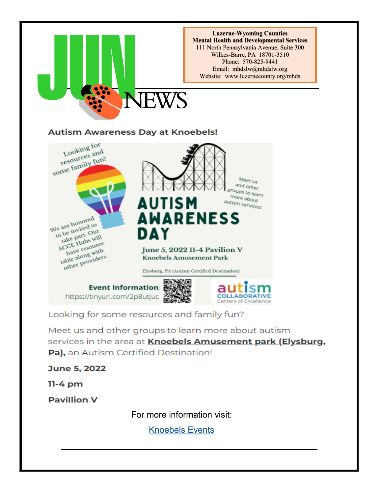

Looking for some resources and family fun?

Meet us and other groups to learn more about autism services in the area at Knoebels Amusement park (Elysburg, Pa), an Autism Certified Destination!

June 5, 2022

 $11-4$  pm

**Pavillion V** 

For more information visit:

[Knoebels Events](https://www.knoebels.com/events/knoebels-amusement-park/autism-awareness-day)